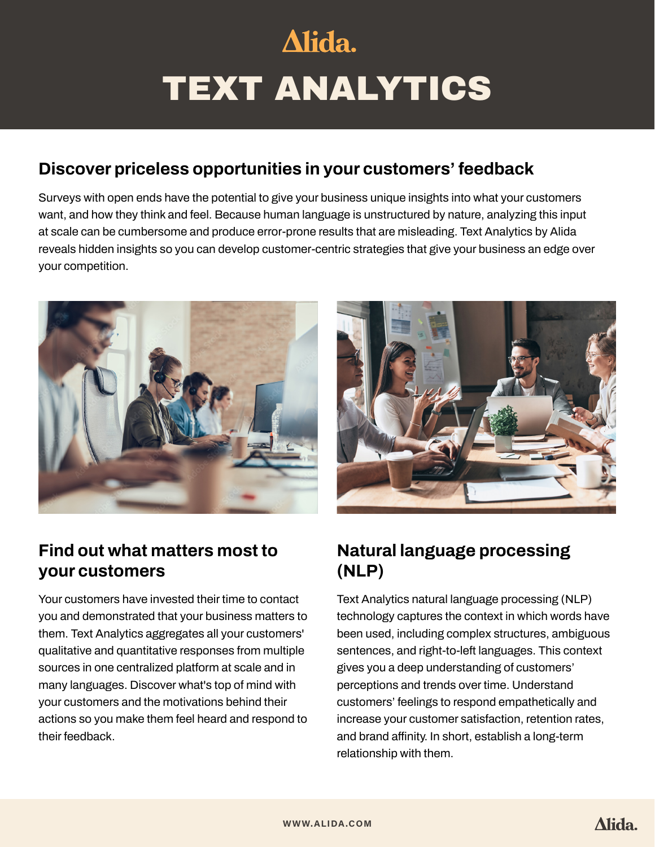# Alida. TEXT ANALYTICS

# **Discover priceless opportunities in your customers' feedback**

Surveys with open ends have the potential to give your business unique insights into what your customers want, and how they think and feel. Because human language is unstructured by nature, analyzing this input at scale can be cumbersome and produce error-prone results that are misleading. Text Analytics by Alida reveals hidden insights so you can develop customer-centric strategies that give your business an edge over your competition.





# **Find out what matters most to your customers**

Your customers have invested their time to contact you and demonstrated that your business matters to them. Text Analytics aggregates all your customers' qualitative and quantitative responses from multiple sources in one centralized platform at scale and in many languages. Discover what's top of mind with your customers and the motivations behind their actions so you make them feel heard and respond to their feedback.

# **Natural language processing (NLP)**

Text Analytics natural language processing (NLP) technology captures the context in which words have been used, including complex structures, ambiguous sentences, and right-to-left languages. This context gives you a deep understanding of customers' perceptions and trends over time. Understand customers' feelings to respond empathetically and increase your customer satisfaction, retention rates, and brand affinity. In short, establish a long-term relationship with them.

**[WWW.ALIDA.COM](http://www.alida.com)**